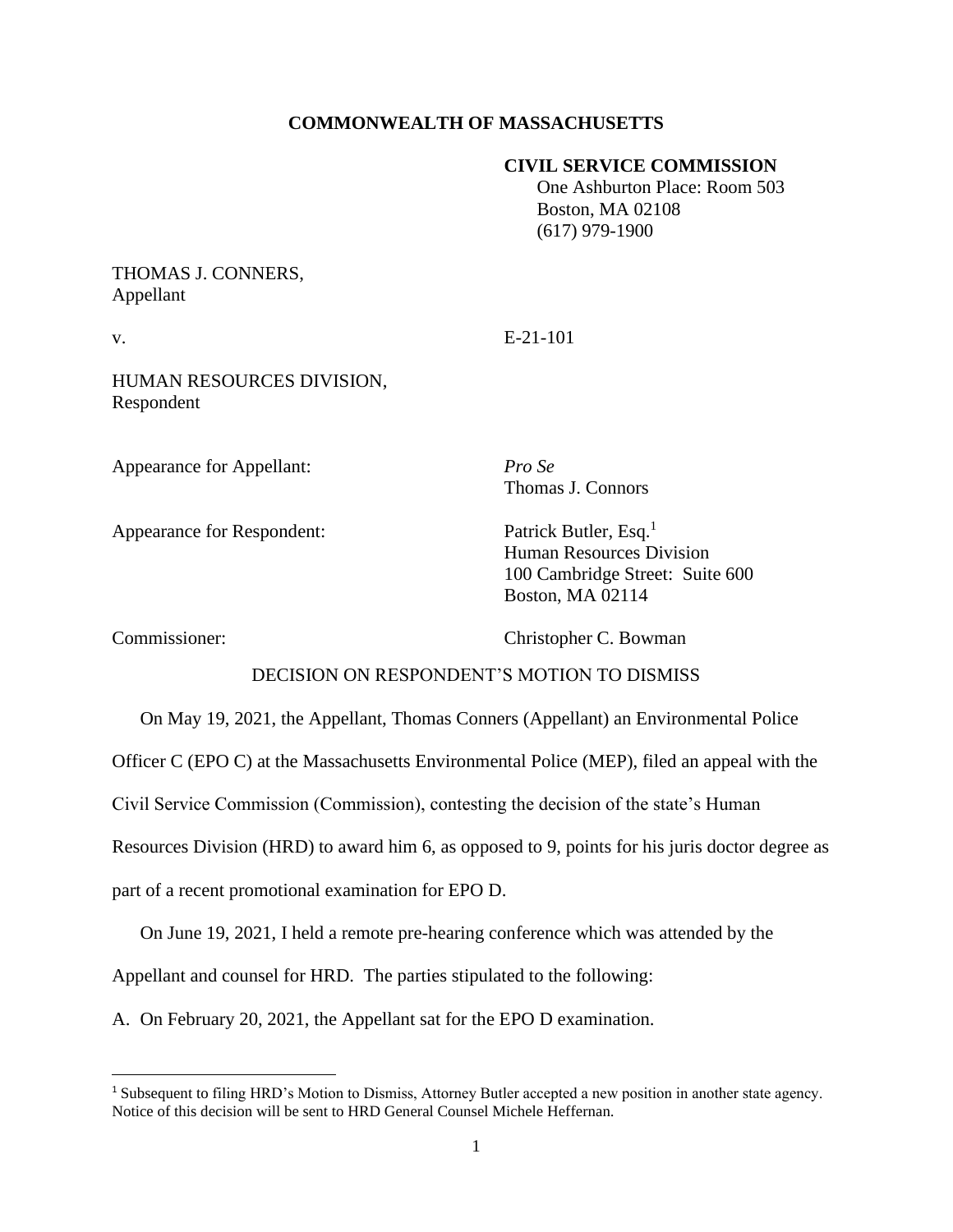# **COMMONWEALTH OF MASSACHUSETTS**

### **CIVIL SERVICE COMMISSION**

 One Ashburton Place: Room 503 Boston, MA 02108 (617) 979-1900

# THOMAS J. CONNERS, Appellant

v. E-21-101

HUMAN RESOURCES DIVISION, Respondent

Appearance for Appellant: *Pro Se*

Appearance for Respondent: Patrick Butler, Esq.<sup>1</sup>

Thomas J. Connors

Human Resources Division 100 Cambridge Street: Suite 600 Boston, MA 02114

Commissioner: Christopher C. Bowman

## DECISION ON RESPONDENT'S MOTION TO DISMISS

On May 19, 2021, the Appellant, Thomas Conners (Appellant) an Environmental Police

Officer C (EPO C) at the Massachusetts Environmental Police (MEP), filed an appeal with the

Civil Service Commission (Commission), contesting the decision of the state's Human

Resources Division (HRD) to award him 6, as opposed to 9, points for his juris doctor degree as

part of a recent promotional examination for EPO D.

On June 19, 2021, I held a remote pre-hearing conference which was attended by the

Appellant and counsel for HRD. The parties stipulated to the following:

A. On February 20, 2021, the Appellant sat for the EPO D examination.

<sup>1</sup> Subsequent to filing HRD's Motion to Dismiss, Attorney Butler accepted a new position in another state agency. Notice of this decision will be sent to HRD General Counsel Michele Heffernan.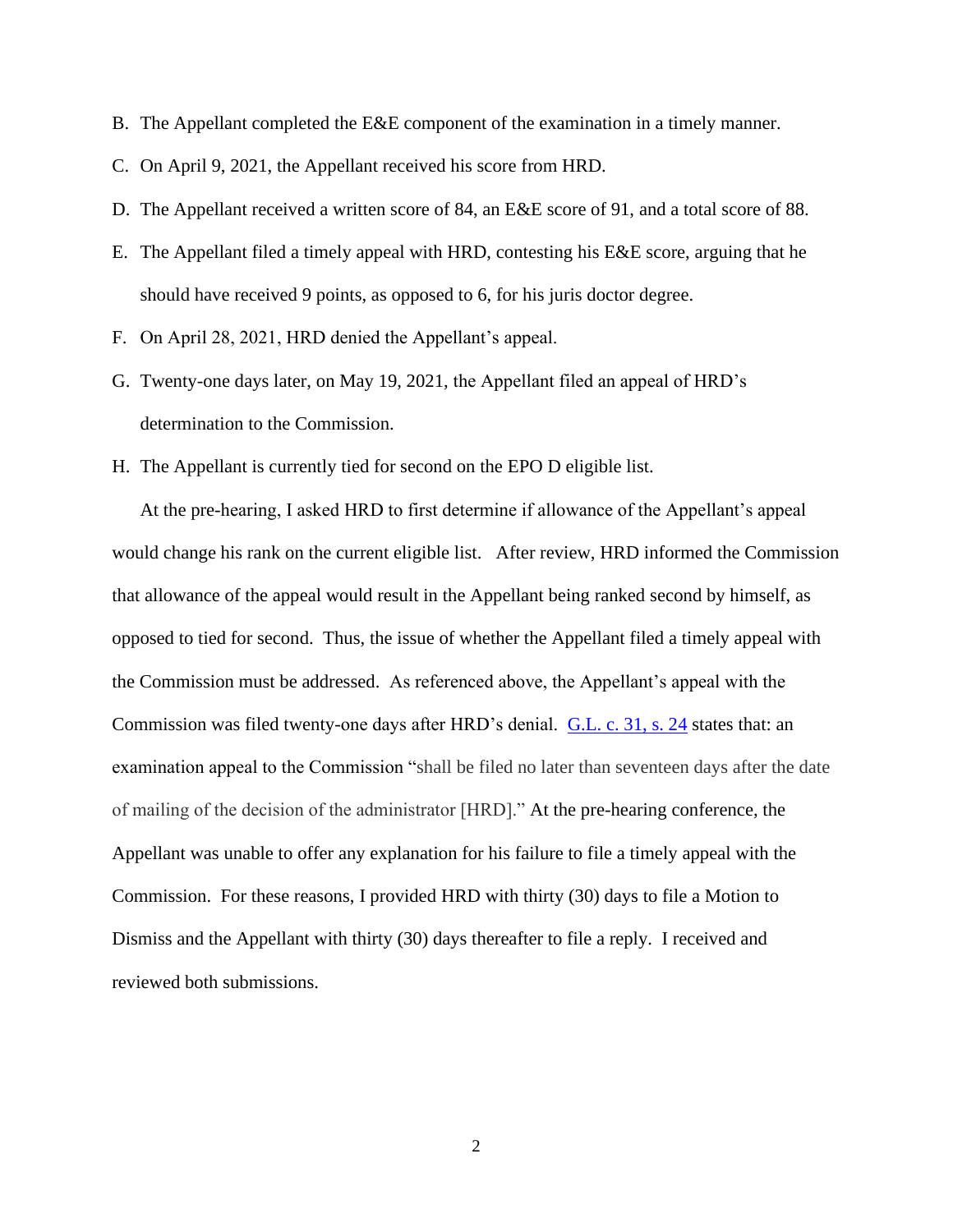- B. The Appellant completed the E&E component of the examination in a timely manner.
- C. On April 9, 2021, the Appellant received his score from HRD.
- D. The Appellant received a written score of 84, an E&E score of 91, and a total score of 88.
- E. The Appellant filed a timely appeal with HRD, contesting his E&E score, arguing that he should have received 9 points, as opposed to 6, for his juris doctor degree.
- F. On April 28, 2021, HRD denied the Appellant's appeal.
- G. Twenty-one days later, on May 19, 2021, the Appellant filed an appeal of HRD's determination to the Commission.
- H. The Appellant is currently tied for second on the EPO D eligible list.

At the pre-hearing, I asked HRD to first determine if allowance of the Appellant's appeal would change his rank on the current eligible list. After review, HRD informed the Commission that allowance of the appeal would result in the Appellant being ranked second by himself, as opposed to tied for second. Thus, the issue of whether the Appellant filed a timely appeal with the Commission must be addressed. As referenced above, the Appellant's appeal with the Commission was filed twenty-one days after HRD's denial. G.L. [c. 31, s. 24](https://malegislature.gov/Laws/GeneralLaws/PartI/TitleIV/Chapter31/Section24) states that: an examination appeal to the Commission "shall be filed no later than seventeen days after the date of mailing of the decision of the administrator [HRD]." At the pre-hearing conference, the Appellant was unable to offer any explanation for his failure to file a timely appeal with the Commission. For these reasons, I provided HRD with thirty (30) days to file a Motion to Dismiss and the Appellant with thirty (30) days thereafter to file a reply. I received and reviewed both submissions.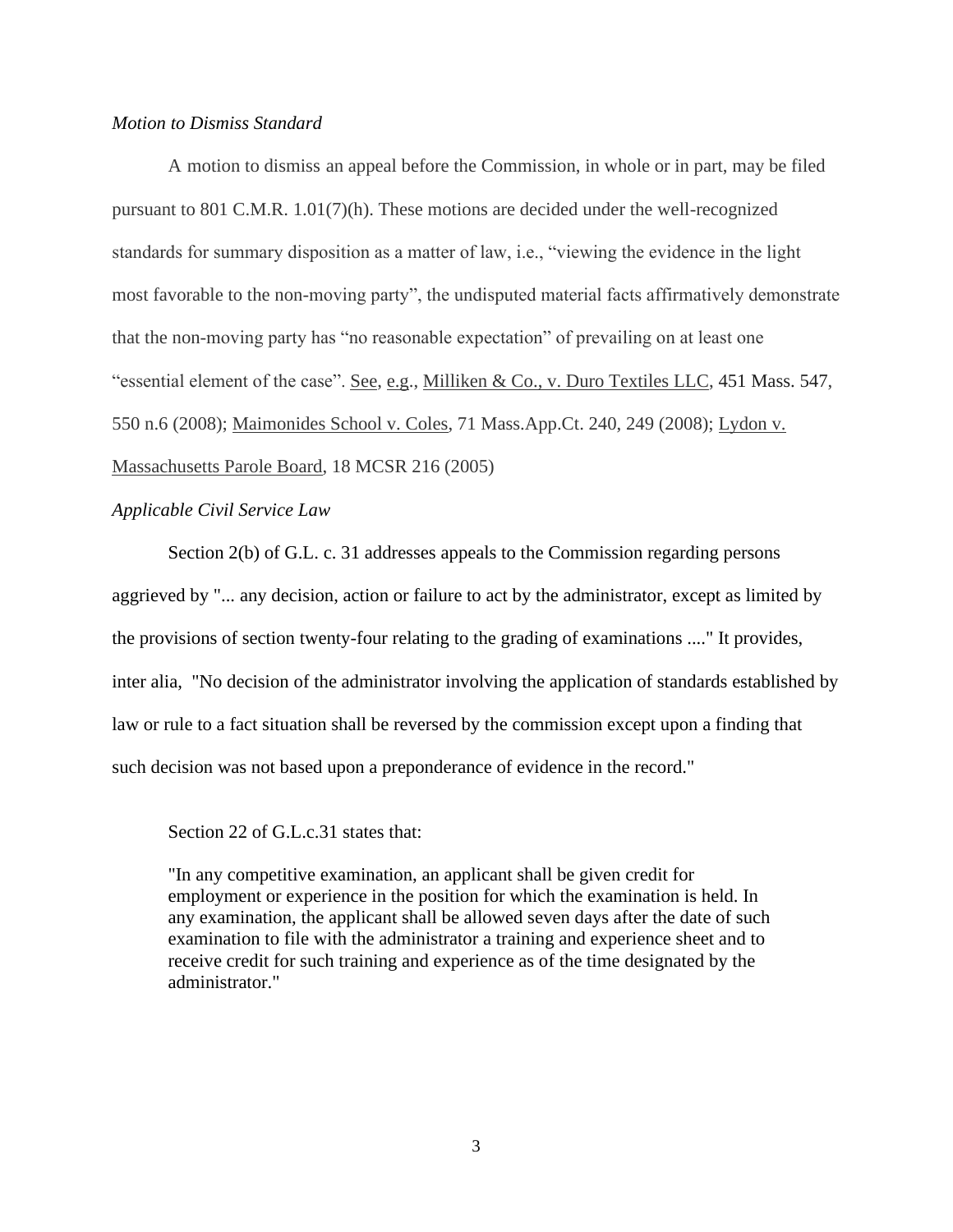### *Motion to Dismiss Standard*

A motion to dismiss an appeal before the Commission, in whole or in part, may be filed pursuant to 801 C.M.R. 1.01(7)(h). These motions are decided under the well-recognized standards for summary disposition as a matter of law, i.e., "viewing the evidence in the light most favorable to the non-moving party", the undisputed material facts affirmatively demonstrate that the non-moving party has "no reasonable expectation" of prevailing on at least one "essential element of the case". See, e.g., Milliken & Co., v. Duro Textiles LLC, [451 Mass. 547,](https://research.socialaw.com/document.php?id=sjcapp:451_mass_547) 550 n.6 (2008); Maimonides School v. Coles, 71 Mass.App.Ct. 240, 249 (2008); Lydon v. Massachusetts Parole Board, 18 MCSR 216 (2005)

#### *Applicable Civil Service Law*

Section 2(b) of G.L. c. 31 addresses appeals to the Commission regarding persons aggrieved by "... any decision, action or failure to act by the administrator, except as limited by the provisions of section twenty-four relating to the grading of examinations ...." It provides, inter alia, "No decision of the administrator involving the application of standards established by law or rule to a fact situation shall be reversed by the commission except upon a finding that such decision was not based upon a preponderance of evidence in the record."

## Section 22 of G.L.c.31 states that:

"In any competitive examination, an applicant shall be given credit for employment or experience in the position for which the examination is held. In any examination, the applicant shall be allowed seven days after the date of such examination to file with the administrator a training and experience sheet and to receive credit for such training and experience as of the time designated by the administrator."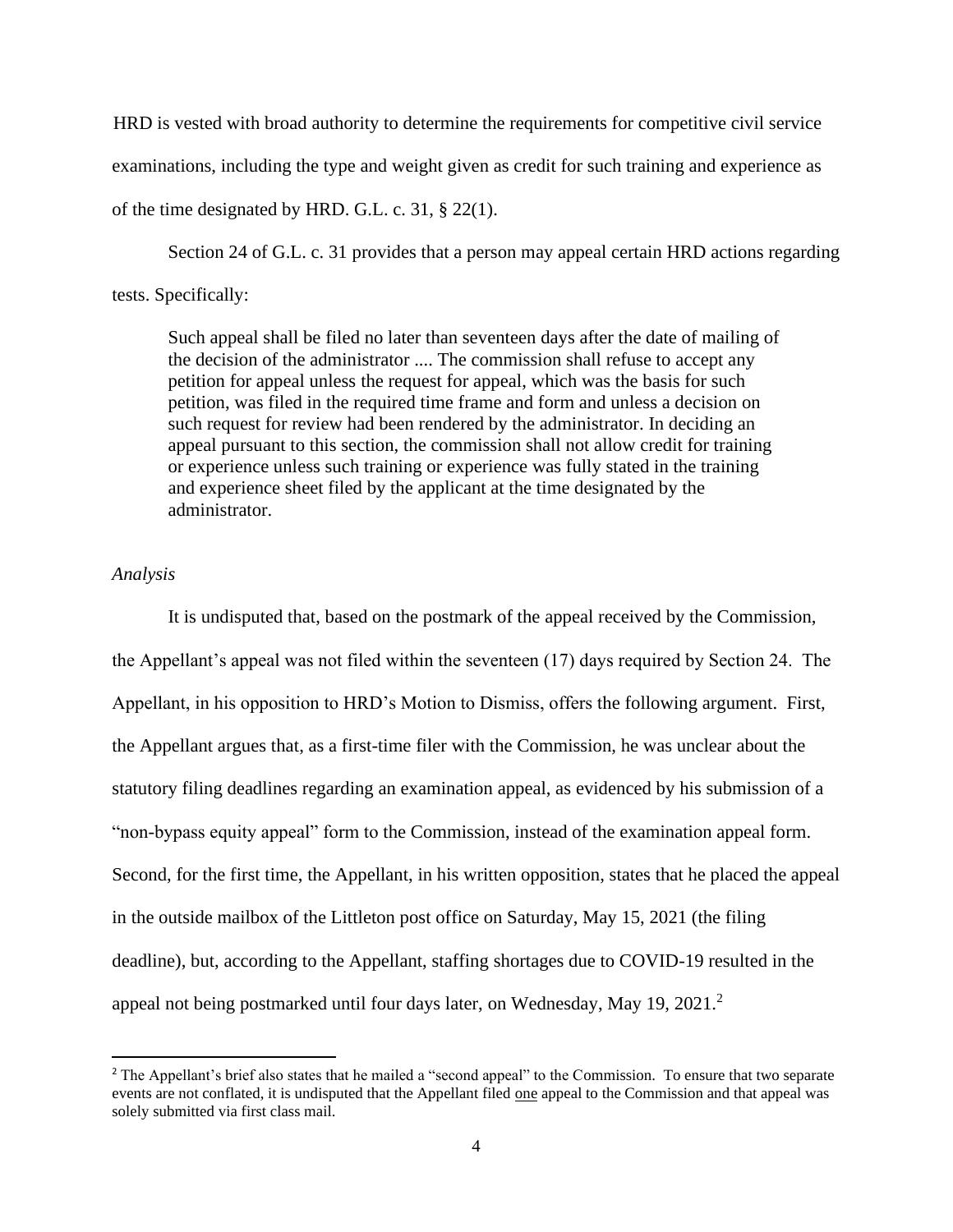HRD is vested with broad authority to determine the requirements for competitive civil service examinations, including the type and weight given as credit for such training and experience as of the time designated by HRD. G.L. c. 31, § 22(1).

Section 24 of G.L. c. 31 provides that a person may appeal certain HRD actions regarding tests. Specifically:

Such appeal shall be filed no later than seventeen days after the date of mailing of the decision of the administrator .... The commission shall refuse to accept any petition for appeal unless the request for appeal, which was the basis for such petition, was filed in the required time frame and form and unless a decision on such request for review had been rendered by the administrator. In deciding an appeal pursuant to this section, the commission shall not allow credit for training or experience unless such training or experience was fully stated in the training and experience sheet filed by the applicant at the time designated by the administrator.

# *Analysis*

It is undisputed that, based on the postmark of the appeal received by the Commission, the Appellant's appeal was not filed within the seventeen (17) days required by Section 24. The Appellant, in his opposition to HRD's Motion to Dismiss, offers the following argument. First, the Appellant argues that, as a first-time filer with the Commission, he was unclear about the statutory filing deadlines regarding an examination appeal, as evidenced by his submission of a "non-bypass equity appeal" form to the Commission, instead of the examination appeal form. Second, for the first time, the Appellant, in his written opposition, states that he placed the appeal in the outside mailbox of the Littleton post office on Saturday, May 15, 2021 (the filing deadline), but, according to the Appellant, staffing shortages due to COVID-19 resulted in the appeal not being postmarked until four days later, on Wednesday, May 19,  $2021$ .<sup>2</sup>

<sup>&</sup>lt;sup>2</sup> The Appellant's brief also states that he mailed a "second appeal" to the Commission. To ensure that two separate events are not conflated, it is undisputed that the Appellant filed one appeal to the Commission and that appeal was solely submitted via first class mail.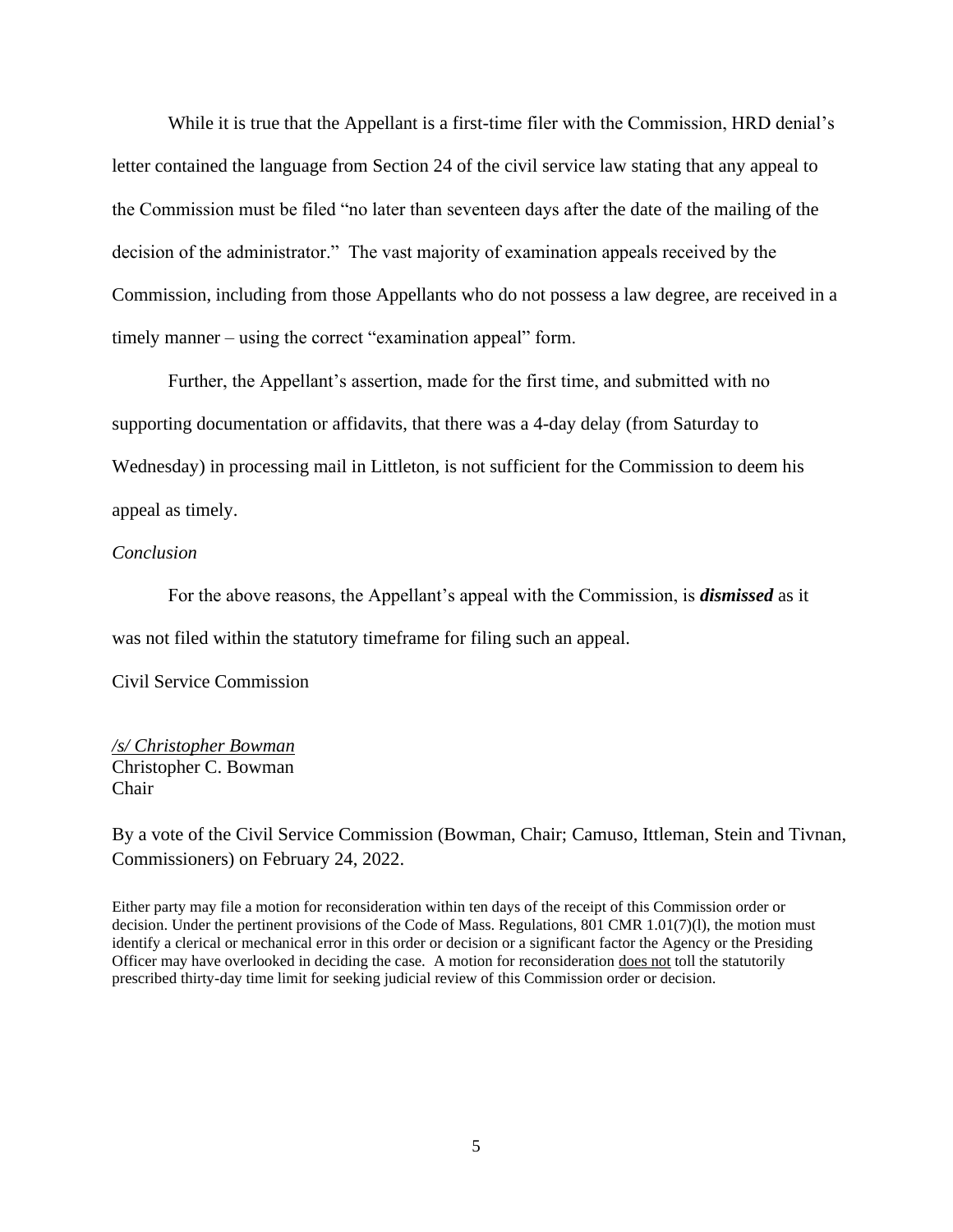While it is true that the Appellant is a first-time filer with the Commission, HRD denial's letter contained the language from Section 24 of the civil service law stating that any appeal to the Commission must be filed "no later than seventeen days after the date of the mailing of the decision of the administrator." The vast majority of examination appeals received by the Commission, including from those Appellants who do not possess a law degree, are received in a timely manner – using the correct "examination appeal" form.

Further, the Appellant's assertion, made for the first time, and submitted with no supporting documentation or affidavits, that there was a 4-day delay (from Saturday to Wednesday) in processing mail in Littleton, is not sufficient for the Commission to deem his appeal as timely.

### *Conclusion*

For the above reasons, the Appellant's appeal with the Commission, is *dismissed* as it was not filed within the statutory timeframe for filing such an appeal.

Civil Service Commission

# */s/ Christopher Bowman* Christopher C. Bowman Chair

By a vote of the Civil Service Commission (Bowman, Chair; Camuso, Ittleman, Stein and Tivnan, Commissioners) on February 24, 2022.

Either party may file a motion for reconsideration within ten days of the receipt of this Commission order or decision. Under the pertinent provisions of the Code of Mass. Regulations, 801 CMR 1.01(7)(l), the motion must identify a clerical or mechanical error in this order or decision or a significant factor the Agency or the Presiding Officer may have overlooked in deciding the case. A motion for reconsideration does not toll the statutorily prescribed thirty-day time limit for seeking judicial review of this Commission order or decision.